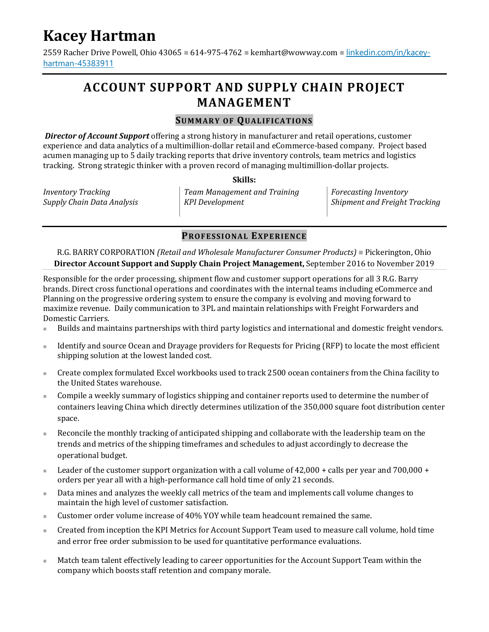# **Kacey Hartman**

2559 Racher Drive Powell, Ohio 43065 = 614-975-4762 · kemhart@wowway.com · linkedin.com/in/kaceyhartman-45383911

## **ACCOUNT SUPPORT AND SUPPLY CHAIN PROJECT MANAGEMENT**

#### **SUMMAR Y OF QUAL IF ICATIO NS**

 *Director of Account Support* offering a strong history in manufacturer and retail operations, customer experience and data analytics of a multimillion-dollar retail and eCommerce-based company. Project based acumen managing up to 5 daily tracking reports that drive inventory controls, team metrics and logistics tracking. Strong strategic thinker with a proven record of managing multimillion-dollar projects.

**Skills:** 

| <i>Inventory Tracking</i>  | Team Management and Training | <b>Forecasting Inventory</b>         |
|----------------------------|------------------------------|--------------------------------------|
| Supply Chain Data Analysis | KPI Development              | <b>Shipment and Freight Tracking</b> |
|                            |                              |                                      |

#### **PROF ESSIO NAL EXP E RIE NC E**

R.G. BARRY CORPORATION *(Retail and Wholesale Manufacturer Consumer Products)* Pickerington, Ohio **Director Account Support and Supply Chain Project Management,** September 2016 to November 2019

Responsible for the order processing, shipment flow and customer support operations for all 3 R.G. Barry brands. Direct cross functional operations and coordinates with the internal teams including eCommerce and Planning on the progressive ordering system to ensure the company is evolving and moving forward to maximize revenue. Daily communication to 3PL and maintain relationships with Freight Forwarders and Domestic Carriers.

- Builds and maintains partnerships with third party logistics and international and domestic freight vendors.
- Identify and source Ocean and Drayage providers for Requests for Pricing (RFP) to locate the most efficient shipping solution at the lowest landed cost.
- Create complex formulated Excel workbooks used to track 2500 ocean containers from the China facility to the United States warehouse.
- Compile a weekly summary of logistics shipping and container reports used to determine the number of containers leaving China which directly determines utilization of the 350,000 square foot distribution center space.
- Reconcile the monthly tracking of anticipated shipping and collaborate with the leadership team on the trends and metrics of the shipping timeframes and schedules to adjust accordingly to decrease the operational budget.
- **Leader of the customer support organization with a call volume of 42,000 + calls per year and 700,000 +** orders per year all with a high-performance call hold time of only 21 seconds.
- Data mines and analyzes the weekly call metrics of the team and implements call volume changes to maintain the high level of customer satisfaction.
- Customer order volume increase of 40% YOY while team headcount remained the same.
- Created from inception the KPI Metrics for Account Support Team used to measure call volume, hold time and error free order submission to be used for quantitative performance evaluations.
- Match team talent effectively leading to career opportunities for the Account Support Team within the company which boosts staff retention and company morale.